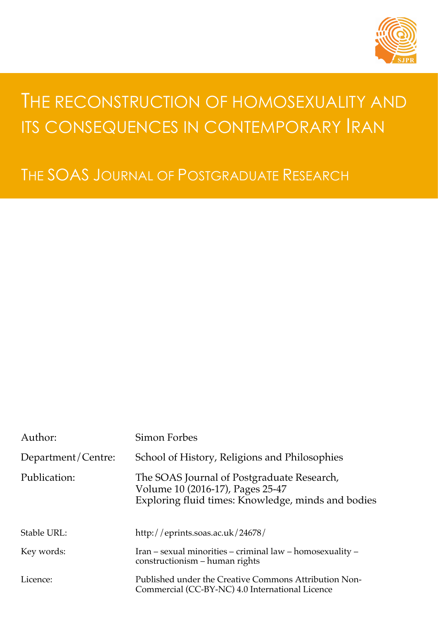

# THE RECONSTRUCTION OF HOMOSEXUALITY AND ITS CONSEQUENCES IN CONTEMPORARY RAN

THE SOAS JOURNAL OF POSTGRADUATE RESEARCH

| Author:            | Simon Forbes                                                                                                                         |
|--------------------|--------------------------------------------------------------------------------------------------------------------------------------|
| Department/Centre: | School of History, Religions and Philosophies                                                                                        |
| Publication:       | The SOAS Journal of Postgraduate Research,<br>Volume 10 (2016-17), Pages 25-47<br>Exploring fluid times: Knowledge, minds and bodies |
| Stable URL:        | http://eprints.soas.ac.uk/24678/                                                                                                     |
| Key words:         | Iran – sexual minorities – criminal law – homosexuality –<br>constructionism – human rights                                          |
| Licence:           | Published under the Creative Commons Attribution Non-<br>Commercial (CC-BY-NC) 4.0 International Licence                             |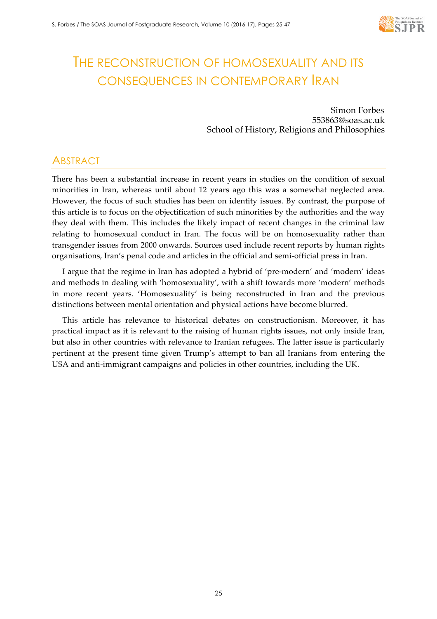

## THE RECONSTRUCTION OF HOMOSEXUALITY AND ITS CONSEQUENCES IN CONTEMPORARY IRAN

Simon Forbes 553863@soas.ac.uk School of History, Religions and Philosophies

## **ABSTRACT**

There has been a substantial increase in recent years in studies on the condition of sexual minorities in Iran, whereas until about 12 years ago this was a somewhat neglected area. However, the focus of such studies has been on identity issues. By contrast, the purpose of this article is to focus on the objectification of such minorities by the authorities and the way they deal with them. This includes the likely impact of recent changes in the criminal law relating to homosexual conduct in Iran. The focus will be on homosexuality rather than transgender issues from 2000 onwards. Sources used include recent reports by human rights organisations, Iran's penal code and articles in the official and semi-official press in Iran.

I argue that the regime in Iran has adopted a hybrid of 'pre-modern' and 'modern' ideas and methods in dealing with 'homosexuality', with a shift towards more 'modern' methods in more recent years. 'Homosexuality' is being reconstructed in Iran and the previous distinctions between mental orientation and physical actions have become blurred.

This article has relevance to historical debates on constructionism. Moreover, it has practical impact as it is relevant to the raising of human rights issues, not only inside Iran, but also in other countries with relevance to Iranian refugees. The latter issue is particularly pertinent at the present time given Trump's attempt to ban all Iranians from entering the USA and anti-immigrant campaigns and policies in other countries, including the UK.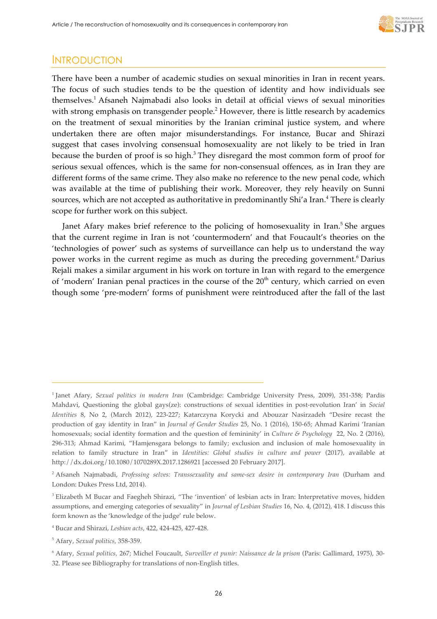

## **INTRODUCTION**

There have been a number of academic studies on sexual minorities in Iran in recent years. The focus of such studies tends to be the question of identity and how individuals see themselves.1 Afsaneh Najmabadi also looks in detail at official views of sexual minorities with strong emphasis on transgender people.<sup>2</sup> However, there is little research by academics on the treatment of sexual minorities by the Iranian criminal justice system, and where undertaken there are often major misunderstandings. For instance, Bucar and Shirazi suggest that cases involving consensual homosexuality are not likely to be tried in Iran because the burden of proof is so high.<sup>3</sup> They disregard the most common form of proof for serious sexual offences, which is the same for non-consensual offences, as in Iran they are different forms of the same crime. They also make no reference to the new penal code, which was available at the time of publishing their work. Moreover, they rely heavily on Sunni sources, which are not accepted as authoritative in predominantly Shi'a Iran.<sup>4</sup> There is clearly scope for further work on this subject.

Janet Afary makes brief reference to the policing of homosexuality in Iran.<sup>5</sup> She argues that the current regime in Iran is not 'countermodern' and that Foucault's theories on the 'technologies of power' such as systems of surveillance can help us to understand the way power works in the current regime as much as during the preceding government. <sup>6</sup> Darius Rejali makes a similar argument in his work on torture in Iran with regard to the emergence of 'modern' Iranian penal practices in the course of the  $20<sup>th</sup>$  century, which carried on even though some 'pre-modern' forms of punishment were reintroduced after the fall of the last

<sup>1</sup> Janet Afary, *Sexual politics in modern Iran* (Cambridge: Cambridge University Press, 2009), 351-358; Pardis Mahdavi, Questioning the global gays(ze): constructions of sexual identities in post-revolution Iran' in *Social Identities* 8, No 2, (March 2012), 223-227; Katarczyna Korycki and Abouzar Nasirzadeh "Desire recast the production of gay identity in Iran" in *Journal of Gender Studies* 25, No. 1 (2016), 150-65; Ahmad Karimi 'Iranian homosexuals; social identity formation and the question of femininity' in *Culture & Psychology* 22, No. 2 (2016), 296-313; Ahmad Karimi, "Hamjensgara belongs to family; exclusion and inclusion of male homosexuality in relation to family structure in Iran" in *Identities: Global studies in culture and power* (2017), available at http://dx.doi.org/10.1080/1070289X.2017.1286921 [accessed 20 February 2017].

<sup>2</sup> Afsaneh Najmabadi, *Professing selves: Transsexuality and same-sex desire in contemporary Iran* (Durham and London: Dukes Press Ltd, 2014).

<sup>&</sup>lt;sup>3</sup> Elizabeth M Bucar and Faegheh Shirazi, "The 'invention' of lesbian acts in Iran: Interpretative moves, hidden assumptions, and emerging categories of sexuality" in *Journal of Lesbian Studies* 16, No. 4, (2012), 418. I discuss this form known as the 'knowledge of the judge' rule below.

<sup>4</sup> Bucar and Shirazi, *Lesbian acts*, 422, 424-425, 427-428.

<sup>5</sup> Afary, *Sexual politics,* 358-359.

<sup>6</sup> Afary, *Sexual politics,* 267; Michel Foucault, *Surveiller et punir: Naissance de la prison* (Paris: Gallimard, 1975), 30- 32. Please see Bibliography for translations of non-English titles.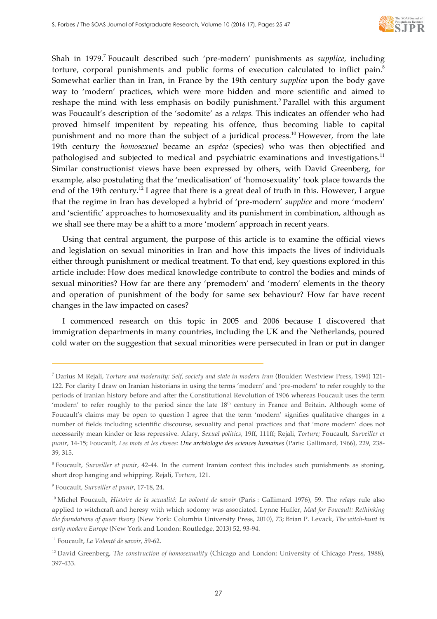

Shah in 1979.<sup>7</sup> Foucault described such 'pre-modern' punishments as *supplice*, including torture, corporal punishments and public forms of execution calculated to inflict pain.8 Somewhat earlier than in Iran, in France by the 19th century *supplice* upon the body gave way to 'modern' practices, which were more hidden and more scientific and aimed to reshape the mind with less emphasis on bodily punishment.<sup>9</sup> Parallel with this argument was Foucault's description of the 'sodomite' as a *relaps.* This indicates an offender who had proved himself impenitent by repeating his offence, thus becoming liable to capital punishment and no more than the subject of a juridical process.<sup>10</sup> However, from the late 19th century the *homosexuel* became an *espéce* (species) who was then objectified and pathologised and subjected to medical and psychiatric examinations and investigations.<sup>11</sup> Similar constructionist views have been expressed by others, with David Greenberg, for example, also postulating that the 'medicalisation' of 'homosexuality' took place towards the end of the 19th century.<sup>12</sup> I agree that there is a great deal of truth in this. However, I argue that the regime in Iran has developed a hybrid of 'pre-modern' *supplice* and more 'modern' and 'scientific' approaches to homosexuality and its punishment in combination, although as we shall see there may be a shift to a more 'modern' approach in recent years.

Using that central argument, the purpose of this article is to examine the official views and legislation on sexual minorities in Iran and how this impacts the lives of individuals either through punishment or medical treatment. To that end, key questions explored in this article include: How does medical knowledge contribute to control the bodies and minds of sexual minorities? How far are there any 'premodern' and 'modern' elements in the theory and operation of punishment of the body for same sex behaviour? How far have recent changes in the law impacted on cases?

I commenced research on this topic in 2005 and 2006 because I discovered that immigration departments in many countries, including the UK and the Netherlands, poured cold water on the suggestion that sexual minorities were persecuted in Iran or put in danger

<sup>7</sup> Darius M Rejali, *Torture and modernity: Self, society and state in modern Iran* (Boulder: Westview Press, 1994) 121- 122. For clarity I draw on Iranian historians in using the terms 'modern' and 'pre-modern' to refer roughly to the periods of Iranian history before and after the Constitutional Revolution of 1906 whereas Foucault uses the term 'modern' to refer roughly to the period since the late 18<sup>th</sup> century in France and Britain. Although some of Foucault's claims may be open to question I agree that the term 'modern' signifies qualitative changes in a number of fields including scientific discourse, sexuality and penal practices and that 'more modern' does not necessarily mean kinder or less repressive. Afary, *Sexual politics,* 19ff, 111ff; Rejali, *Torture;* Foucault, *Surveiller et punir*, 14-15; Foucault, *Les mots et les choses: Une archéologie des sciences humaines* (Paris: Gallimard, 1966), 229, 238- 39, 315.

<sup>8</sup> Foucault, *Surveiller et punir,* 42-44. In the current Iranian context this includes such punishments as stoning, short drop hanging and whipping. Rejali, *Torture*, 121.

<sup>9</sup> Foucault, *Surveiller et punir*, 17-18, 24.

<sup>10</sup> Michel Foucault, *Histoire de la sexualité: La volonté de savoir* (Paris : Gallimard 1976), 59. The *relaps* rule also applied to witchcraft and heresy with which sodomy was associated. Lynne Huffer, *Mad for Foucault: Rethinking the foundations of queer theory* (New York: Columbia University Press, 2010), 73; Brian P. Levack, *The witch-hunt in early modern Europe* (New York and London: Routledge, 2013) 52, 93-94.

<sup>11</sup> Foucault, *La Volonté de savoir*, 59-62.

<sup>&</sup>lt;sup>12</sup> David Greenberg, *The construction of homosexuality* (Chicago and London: University of Chicago Press, 1988), 397-433.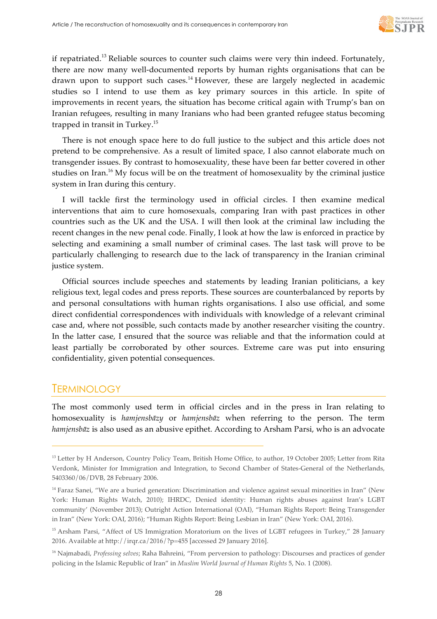

if repatriated.<sup>13</sup> Reliable sources to counter such claims were very thin indeed. Fortunately, there are now many well-documented reports by human rights organisations that can be drawn upon to support such cases.<sup>14</sup> However, these are largely neglected in academic studies so I intend to use them as key primary sources in this article. In spite of improvements in recent years, the situation has become critical again with Trump's ban on Iranian refugees, resulting in many Iranians who had been granted refugee status becoming trapped in transit in Turkey.15

There is not enough space here to do full justice to the subject and this article does not pretend to be comprehensive. As a result of limited space, I also cannot elaborate much on transgender issues. By contrast to homosexuality, these have been far better covered in other studies on Iran.<sup>16</sup> My focus will be on the treatment of homosexuality by the criminal justice system in Iran during this century.

I will tackle first the terminology used in official circles. I then examine medical interventions that aim to cure homosexuals, comparing Iran with past practices in other countries such as the UK and the USA. I will then look at the criminal law including the recent changes in the new penal code. Finally, I look at how the law is enforced in practice by selecting and examining a small number of criminal cases. The last task will prove to be particularly challenging to research due to the lack of transparency in the Iranian criminal justice system.

Official sources include speeches and statements by leading Iranian politicians, a key religious text, legal codes and press reports. These sources are counterbalanced by reports by and personal consultations with human rights organisations. I also use official, and some direct confidential correspondences with individuals with knowledge of a relevant criminal case and, where not possible, such contacts made by another researcher visiting the country. In the latter case, I ensured that the source was reliable and that the information could at least partially be corroborated by other sources. Extreme care was put into ensuring confidentiality, given potential consequences.

## **TERMINOLOGY**

j

The most commonly used term in official circles and in the press in Iran relating to homosexuality is *hamjensbāzy* or *hamjensbāz* when referring to the person. The term *hamjensbāz* is also used as an abusive epithet. According to Arsham Parsi, who is an advocate

<sup>&</sup>lt;sup>13</sup> Letter by H Anderson, Country Policy Team, British Home Office, to author, 19 October 2005; Letter from Rita Verdonk, Minister for Immigration and Integration, to Second Chamber of States-General of the Netherlands, 5403360/06/DVB, 28 February 2006.

<sup>&</sup>lt;sup>14</sup> Faraz Sanei, "We are a buried generation: Discrimination and violence against sexual minorities in Iran" (New York: Human Rights Watch, 2010); IHRDC, Denied identity: Human rights abuses against Iran's LGBT community' (November 2013); Outright Action International (OAI), "Human Rights Report: Being Transgender in Iran" (New York: OAI, 2016); "Human Rights Report: Being Lesbian in Iran" (New York: OAI, 2016).

<sup>&</sup>lt;sup>15</sup> Arsham Parsi, "Affect of US Immigration Moratorium on the lives of LGBT refugees in Turkey," 28 January 2016. Available at http://irqr.ca/2016/?p=455 [accessed 29 January 2016].

<sup>16</sup> Najmabadi, *Professing selves*; Raha Bahreini, "From perversion to pathology: Discourses and practices of gender policing in the Islamic Republic of Iran" in *Muslim World Journal of Human Rights* 5, No. 1 (2008).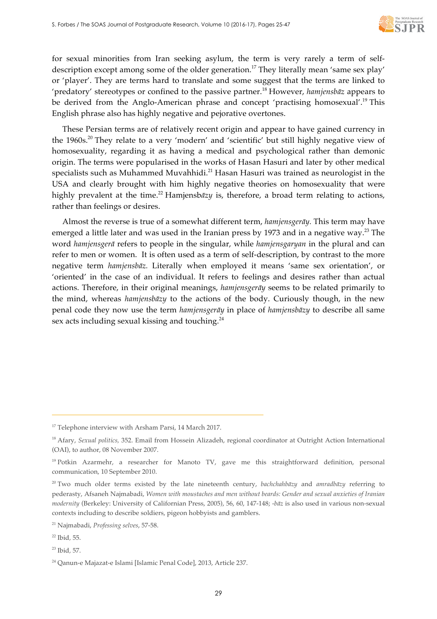

for sexual minorities from Iran seeking asylum, the term is very rarely a term of selfdescription except among some of the older generation.<sup>17</sup> They literally mean 'same sex play' or 'player'. They are terms hard to translate and some suggest that the terms are linked to 'predatory' stereotypes or confined to the passive partner.<sup>18</sup> However, *hamjensbāz* appears to be derived from the Anglo-American phrase and concept 'practising homosexual'.19 This English phrase also has highly negative and pejorative overtones.

These Persian terms are of relatively recent origin and appear to have gained currency in the 1960s.<sup>20</sup> They relate to a very 'modern' and 'scientific' but still highly negative view of homosexuality, regarding it as having a medical and psychological rather than demonic origin. The terms were popularised in the works of Hasan Hasuri and later by other medical specialists such as Muhammed Muvahhidi.<sup>21</sup> Hasan Hasuri was trained as neurologist in the USA and clearly brought with him highly negative theories on homosexuality that were highly prevalent at the time.<sup>22</sup> Hamjensb*āzy* is, therefore, a broad term relating to actions, rather than feelings or desires.

Almost the reverse is true of a somewhat different term, *hamjensgerāy.* This term may have emerged a little later and was used in the Iranian press by 1973 and in a negative way.<sup>23</sup> The word *hamjensgerā* refers to people in the singular, while *hamjensgaryan* in the plural and can refer to men or women. It is often used as a term of self-description, by contrast to the more negative term *hamjensbāz.* Literally when employed it means 'same sex orientation', or 'oriented' in the case of an individual. It refers to feelings and desires rather than actual actions. Therefore, in their original meanings, *hamjensgerāy* seems to be related primarily to the mind, whereas *hamjensbāzy* to the actions of the body. Curiously though, in the new penal code they now use the term *hamjensgerāy* in place of *hamjensbāzy* to describe all same sex acts including sexual kissing and touching.<sup>24</sup>

j

<sup>23</sup> Ibid*,* 57.

<sup>&</sup>lt;sup>17</sup> Telephone interview with Arsham Parsi, 14 March 2017.

<sup>&</sup>lt;sup>18</sup> Afary, *Sexual politics*, 352. Email from Hossein Alizadeh, regional coordinator at Outright Action International (OAI), to author, 08 November 2007.

<sup>&</sup>lt;sup>19</sup> Potkin Azarmehr, a researcher for Manoto TV, gave me this straightforward definition, personal communication, 10 September 2010.

<sup>20</sup> Two much older terms existed by the late nineteenth century, *bachchahbāzy* and *amradbāzy* referring to pederasty, Afsaneh Najmabadi, *Women with moustaches and men without beards: Gender and sexual anxieties of Iranian modernity* (Berkeley: University of Californian Press, 2005), 56, 60, 147-148; -*bāz* is also used in various non-sexual contexts including to describe soldiers, pigeon hobbyists and gamblers.

<sup>21</sup> Najmabadi, *Professing selves*, 57-58.

<sup>22</sup> Ibid*,* 55.

<sup>24</sup> Qanun-e Majazat-e Islami [Islamic Penal Code], 2013, Article 237.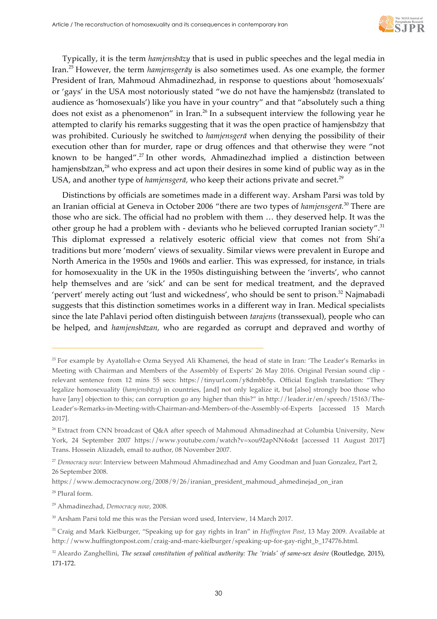

Typically, it is the term *hamjensbāzy* that is used in public speeches and the legal media in Iran.<sup>25</sup> However, the term *hamjensgerāy* is also sometimes used. As one example, the former President of Iran, Mahmoud Ahmadinezhad, in response to questions about 'homosexuals' or 'gays' in the USA most notoriously stated "we do not have the hamjensb*ā*z (translated to audience as 'homosexuals') like you have in your country" and that "absolutely such a thing does not exist as a phenomenon" in Iran. <sup>26</sup> In a subsequent interview the following year he attempted to clarify his remarks suggesting that it was the open practice of hamjensb*ā*zy that was prohibited. Curiously he switched to *hamjensgerā* when denying the possibility of their execution other than for murder, rape or drug offences and that otherwise they were "not known to be hanged". <sup>27</sup> In other words, Ahmadinezhad implied a distinction between hamjensb*āzan*,<sup>28</sup> who express and act upon their desires in some kind of public way as in the USA, and another type of *hamjensgerā*, who keep their actions private and secret.<sup>29</sup>

Distinctions by officials are sometimes made in a different way. Arsham Parsi was told by an Iranian official at Geneva in October 2006 "there are two types of *hamjensgerā.* <sup>30</sup> There are those who are sick. The official had no problem with them … they deserved help. It was the other group he had a problem with - deviants who he believed corrupted Iranian society".<sup>31</sup> This diplomat expressed a relatively esoteric official view that comes not from Shi'a traditions but more 'modern' views of sexuality. Similar views were prevalent in Europe and North America in the 1950s and 1960s and earlier. This was expressed, for instance, in trials for homosexuality in the UK in the 1950s distinguishing between the 'inverts', who cannot help themselves and are 'sick' and can be sent for medical treatment, and the depraved 'pervert' merely acting out 'lust and wickedness', who should be sent to prison.<sup>32</sup> Najmabadi suggests that this distinction sometimes works in a different way in Iran. Medical specialists since the late Pahlavi period often distinguish between *tarajens* (transsexual), people who can be helped, and *hamjensbāzan,* who are regarded as corrupt and depraved and worthy of

<sup>28</sup> Plural form.

 $\overline{a}$ 

<sup>29</sup> Ahmadinezhad, *Democracy now*, 2008.

<sup>30</sup> Arsham Parsi told me this was the Persian word used, Interview, 14 March 2017.

<sup>&</sup>lt;sup>25</sup> For example by Ayatollah-e Ozma Seyyed Ali Khamenei, the head of state in Iran: 'The Leader's Remarks in Meeting with Chairman and Members of the Assembly of Experts' 26 May 2016. Original Persian sound clip relevant sentence from 12 mins 55 secs: https://tinyurl.com/y8dmbb5p**.** Official English translation: "They legalize homosexuality (*hamjensbāzy*) in countries, [and] not only legalize it, but [also] strongly boo those who have [any] objection to this; can corruption go any higher than this?" in http://leader.ir/en/speech/15163/The-Leader's-Remarks-in-Meeting-with-Chairman-and-Members-of-the-Assembly-of-Experts [accessed 15 March 2017].

<sup>&</sup>lt;sup>26</sup> Extract from CNN broadcast of Q&A after speech of Mahmoud Ahmadinezhad at Columbia University, New York, 24 September 2007 https://www.youtube.com/watch?v=xou92apNN4o&t [accessed 11 August 2017] Trans. Hossein Alizadeh, email to author, 08 November 2007.

<sup>&</sup>lt;sup>27</sup> *Democracy now*: Interview between Mahmoud Ahmadinezhad and Amy Goodman and Juan Gonzalez, Part 2, 26 September 2008.

https://www.democracynow.org/2008/9/26/iranian\_president\_mahmoud\_ahmedinejad\_on\_iran

<sup>31</sup> Craig and Mark Kielburger, "Speaking up for gay rights in Iran" in *Huffington Post*, 13 May 2009. Available at http://www.huffingtonpost.com/craig-and-marc-kielburger/speaking-up-for-gay-right\_b\_174776.html.

<sup>&</sup>lt;sup>32</sup> Aleardo Zanghellini, *The sexual constitution of political authority: The 'trials' of same-sex desire (Routledge, 2015),* 171-172.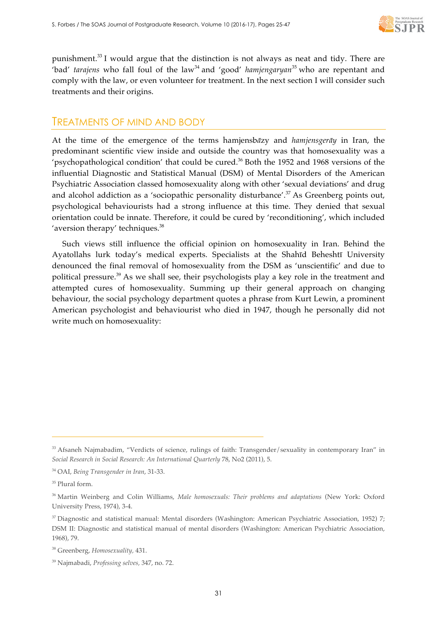

punishment.<sup>33</sup> I would argue that the distinction is not always as neat and tidy. There are 'bad' *tarajens* who fall foul of the law<sup>34</sup> and 'good' *hamjengaryan*<sup>35</sup> who are repentant and comply with the law, or even volunteer for treatment. In the next section I will consider such treatments and their origins.

## TREATMENTS OF MIND AND BODY

At the time of the emergence of the terms hamjensb*ā*zy and *hamjensgerāy* in Iran, the predominant scientific view inside and outside the country was that homosexuality was a 'psychopathological condition' that could be cured.<sup>36</sup> Both the 1952 and 1968 versions of the influential Diagnostic and Statistical Manual (DSM) of Mental Disorders of the American Psychiatric Association classed homosexuality along with other 'sexual deviations' and drug and alcohol addiction as a 'sociopathic personality disturbance'.<sup>37</sup> As Greenberg points out, psychological behaviourists had a strong influence at this time. They denied that sexual orientation could be innate. Therefore, it could be cured by 'reconditioning', which included 'aversion therapy' techniques.<sup>38</sup>

Such views still influence the official opinion on homosexuality in Iran. Behind the Ayatollahs lurk today's medical experts. Specialists at the Shahīd Beheshtī University denounced the final removal of homosexuality from the DSM as 'unscientific' and due to political pressure.<sup>39</sup> As we shall see, their psychologists play a key role in the treatment and attempted cures of homosexuality. Summing up their general approach on changing behaviour, the social psychology department quotes a phrase from Kurt Lewin, a prominent American psychologist and behaviourist who died in 1947, though he personally did not write much on homosexuality:

<sup>&</sup>lt;sup>33</sup> Afsaneh Najmabadim, "Verdicts of science, rulings of faith: Transgender/sexuality in contemporary Iran" in *Social Research in Social Research: An International Quarterly* 78, No2 (2011), 5.

<sup>34</sup> OAI, *Being Transgender in Iran*, 31-33.

<sup>&</sup>lt;sup>35</sup> Plural form.

<sup>36</sup> Martin Weinberg and Colin Williams, *Male homosexuals: Their problems and adaptations* (New York: Oxford University Press, 1974), 3-4.

<sup>&</sup>lt;sup>37</sup> Diagnostic and statistical manual: Mental disorders (Washington: American Psychiatric Association, 1952) 7; DSM II: Diagnostic and statistical manual of mental disorders (Washington: American Psychiatric Association, 1968), 79.

<sup>38</sup> Greenberg, *Homosexuality,* 431.

<sup>39</sup> Najmabadi, *Professing selves,* 347, no. 72.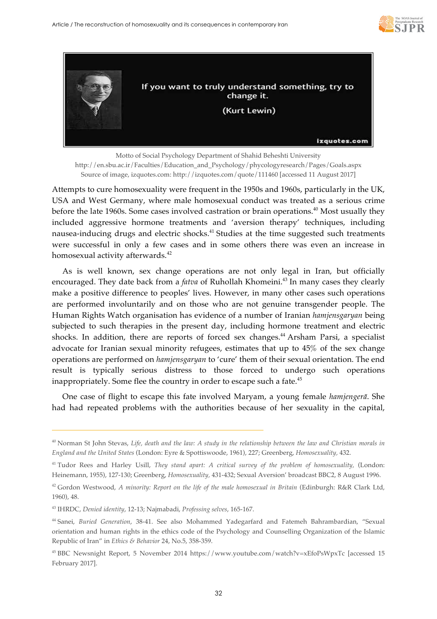



Motto of Social Psychology Department of Shahid Beheshti University http://en.sbu.ac.ir/Faculties/Education\_and\_Psychology/phycologyresearch/Pages/Goals.aspx Source of image, izquotes.com: http://izquotes.com/quote/111460 [accessed 11 August 2017]

Attempts to cure homosexuality were frequent in the 1950s and 1960s, particularly in the UK, USA and West Germany, where male homosexual conduct was treated as a serious crime before the late 1960s. Some cases involved castration or brain operations.<sup>40</sup> Most usually they included aggressive hormone treatments and 'aversion therapy' techniques, including nausea-inducing drugs and electric shocks.<sup>41</sup> Studies at the time suggested such treatments were successful in only a few cases and in some others there was even an increase in homosexual activity afterwards.<sup>42</sup>

As is well known, sex change operations are not only legal in Iran, but officially encouraged. They date back from a *fatva* of Ruhollah Khomeini.<sup>43</sup> In many cases they clearly make a positive difference to peoples' lives. However, in many other cases such operations are performed involuntarily and on those who are not genuine transgender people. The Human Rights Watch organisation has evidence of a number of Iranian *hamjensgaryan* being subjected to such therapies in the present day, including hormone treatment and electric shocks. In addition, there are reports of forced sex changes.<sup>44</sup> Arsham Parsi, a specialist advocate for Iranian sexual minority refugees, estimates that up to 45% of the sex change operations are performed on *hamjensgaryan* to 'cure' them of their sexual orientation. The end result is typically serious distress to those forced to undergo such operations inappropriately. Some flee the country in order to escape such a fate. 45

One case of flight to escape this fate involved Maryam, a young female *hamjengerā*. She had had repeated problems with the authorities because of her sexuality in the capital,

 $\overline{a}$ 

<sup>40</sup> Norman St John Stevas, *Life, death and the law: A study in the relationship between the law and Christian morals in England and the United States* (London: Eyre & Spottiswoode, 1961), 227; Greenberg, *Homosexuality,* 432.

<sup>41</sup> Tudor Rees and Harley Usill, *They stand apart: A critical survey of the problem of homosexuality,* (London: Heinemann, 1955), 127-130; Greenberg, *Homosexuality,* 431-432; Sexual Aversion' broadcast BBC2, 8 August 1996.

<sup>42</sup> Gordon Westwood, *A minority: Report on the life of the male homosexual in Britain* (Edinburgh: R&R Clark Ltd, 1960), 48.

<sup>43</sup> IHRDC, *Denied identity*, 12-13; Najmabadi, *Professing selves*, 165-167.

<sup>44</sup> Sanei, *Buried Generation*, 38-41. See also Mohammed Yadegarfard and Fatemeh Bahrambardian, "Sexual orientation and human rights in the ethics code of the Psychology and Counselling Organization of the Islamic Republic of Iran" in *Ethics & Behavior* 24, No.5, 358-359.

<sup>45</sup> BBC Newsnight Report, 5 November 2014 https://www.youtube.com/watch?v=xEfoPsWpxTc [accessed 15 February 2017].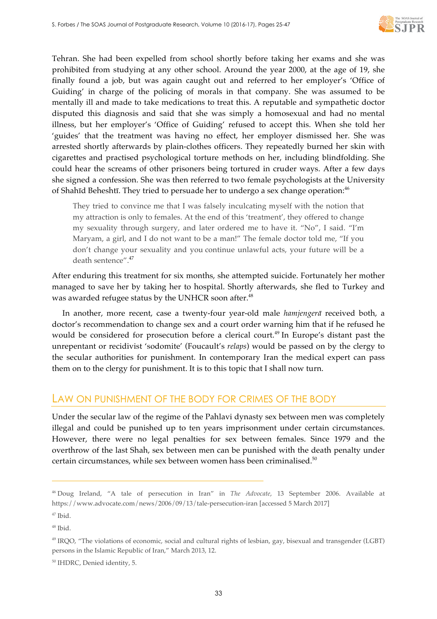

Tehran. She had been expelled from school shortly before taking her exams and she was prohibited from studying at any other school. Around the year 2000, at the age of 19, she finally found a job, but was again caught out and referred to her employer's 'Office of Guiding' in charge of the policing of morals in that company. She was assumed to be mentally ill and made to take medications to treat this. A reputable and sympathetic doctor disputed this diagnosis and said that she was simply a homosexual and had no mental illness, but her employer's 'Office of Guiding' refused to accept this. When she told her 'guides' that the treatment was having no effect, her employer dismissed her. She was arrested shortly afterwards by plain-clothes officers. They repeatedly burned her skin with cigarettes and practised psychological torture methods on her, including blindfolding. She could hear the screams of other prisoners being tortured in cruder ways. After a few days she signed a confession. She was then referred to two female psychologists at the University of Shahīd Beheshtī. They tried to persuade her to undergo a sex change operation:<sup>46</sup>

They tried to convince me that I was falsely inculcating myself with the notion that my attraction is only to females. At the end of this 'treatment', they offered to change my sexuality through surgery, and later ordered me to have it. "No", I said. "I'm Maryam, a girl, and I do not want to be a man!" The female doctor told me, "If you don't change your sexuality and you continue unlawful acts, your future will be a death sentence". 47

After enduring this treatment for six months, she attempted suicide. Fortunately her mother managed to save her by taking her to hospital. Shortly afterwards, she fled to Turkey and was awarded refugee status by the UNHCR soon after. 48

In another, more recent, case a twenty-four year-old male *hamjengerā* received both, a doctor's recommendation to change sex and a court order warning him that if he refused he would be considered for prosecution before a clerical court.<sup>49</sup> In Europe's distant past the unrepentant or recidivist 'sodomite' (Foucault's *relaps*) would be passed on by the clergy to the secular authorities for punishment. In contemporary Iran the medical expert can pass them on to the clergy for punishment. It is to this topic that I shall now turn.

## LAW ON PUNISHMENT OF THE BODY FOR CRIMES OF THE BODY

Under the secular law of the regime of the Pahlavi dynasty sex between men was completely illegal and could be punished up to ten years imprisonment under certain circumstances. However, there were no legal penalties for sex between females. Since 1979 and the overthrow of the last Shah, sex between men can be punished with the death penalty under certain circumstances, while sex between women hass been criminalised.<sup>50</sup>

<sup>46</sup> Doug Ireland, "A tale of persecution in Iran" in *The Advocate*, 13 September 2006. Available at https://www.advocate.com/news/2006/09/13/tale-persecution-iran [accessed 5 March 2017]

 $47$  Ibid.

<sup>48</sup> Ibid.

<sup>49</sup> IRQO, "The violations of economic, social and cultural rights of lesbian, gay, bisexual and transgender (LGBT) persons in the Islamic Republic of Iran," March 2013, 12.

<sup>50</sup> IHDRC, Denied identity, 5.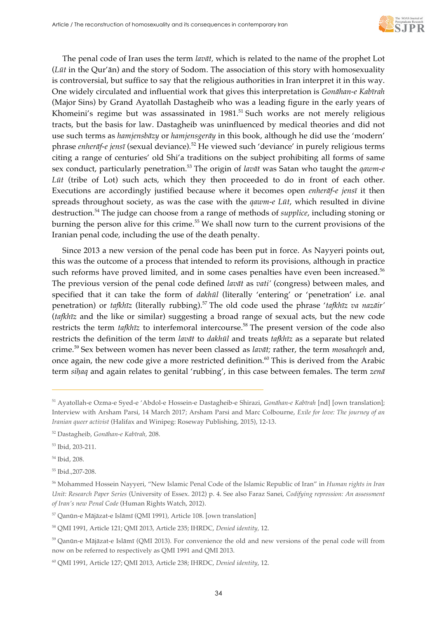

The penal code of Iran uses the term *lavāt,* which is related to the name of the prophet Lot (*Lūt* in the Qur'ān) and the story of Sodom. The association of this story with homosexuality is controversial, but suffice to say that the religious authorities in Iran interpret it in this way. One widely circulated and influential work that gives this interpretation is *Gonāhan-e Kabīrah* (Major Sins) by Grand Ayatollah Dastagheib who was a leading figure in the early years of Khomeini's regime but was assassinated in  $1981$ .<sup>51</sup> Such works are not merely religious tracts, but the basis for law. Dastagheib was uninfluenced by medical theories and did not use such terms as *hamjensbāzy* or *hamjensgerāy* in this book, although he did use the 'modern' phrase *enherāf-e jensī* (sexual deviance)*.* <sup>52</sup> He viewed such 'deviance' in purely religious terms citing a range of centuries' old Shi'a traditions on the subject prohibiting all forms of same sex conduct, particularly penetration.53 The origin of *lavāt* was Satan who taught the *qawm-e Lūt* (tribe of Lot) such acts, which they then proceeded to do in front of each other. Executions are accordingly justified because where it becomes open *enherāf-e jensī* it then spreads throughout society, as was the case with the *qawm-e Lūt*, which resulted in divine destruction.<sup>54</sup> The judge can choose from a range of methods of *supplice*, including stoning or burning the person alive for this crime.<sup>55</sup> We shall now turn to the current provisions of the Iranian penal code, including the use of the death penalty.

Since 2013 a new version of the penal code has been put in force. As Nayyeri points out, this was the outcome of a process that intended to reform its provisions, although in practice such reforms have proved limited, and in some cases penalties have even been increased.<sup>56</sup> The previous version of the penal code defined *lavāt* as *vati'* (congress) between males, and specified that it can take the form of *dakhūl* (literally 'entering' or 'penetration' i.e. anal penetration) or *tafkhīz* (literally rubbing).<sup>57</sup> The old code used the phrase '*tafkhīz va nazāir'* (*tafkhīz* and the like or similar) suggesting a broad range of sexual acts, but the new code restricts the term *tafkhīz* to interfemoral intercourse.<sup>58</sup> The present version of the code also restricts the definition of the term *lavāt* to *dakhūl* and treats *tafkhīz* as a separate but related crime.<sup>59</sup> Sex between women has never been classed as *lavāt;* rather, the term *mosaheqeh* and, once again, the new code give a more restricted definition.<sup>60</sup> This is derived from the Arabic term *siḥaq* and again relates to genital 'rubbing', in this case between females. The term *zenā*

j

<sup>55</sup> Ibid.,207-208.

<sup>57</sup> Qanūn-e Mājāzat-e Islāmī (QMI 1991), Article 108. [own translation]

<sup>51</sup> Ayatollah-e Ozma-e Syed-e 'Abdol-e Hossein-e Dastagheib-e Shirazi, *Gonāhan-e Kabīrah* [nd] [own translation]; Interview with Arsham Parsi, 14 March 2017; Arsham Parsi and Marc Colbourne, *Exile for love: The journey of an Iranian queer activist* (Halifax and Winipeg: Roseway Publishing, 2015), 12-13.

<sup>52</sup> Dastagheib, *Gonāhan-e Kabīrah,* 208.

<sup>53</sup> Ibid, 203-211.

<sup>54</sup> Ibid, 208.

<sup>56</sup> Mohammed Hossein Nayyeri, "New Islamic Penal Code of the Islamic Republic of Iran" in *Human rights in Iran Unit: Research Paper Series* (University of Essex. 2012) p. 4. See also Faraz Sanei, *Codifying repression: An assessment of Iran's new Penal Code* (Human Rights Watch, 2012).

<sup>58</sup> QMI 1991, Article 121; QMI 2013, Article 235; IHRDC, *Denied identity,* 12.

<sup>59</sup> Qanūn-e Mājāzat-e Islāmī (QMI 2013). For convenience the old and new versions of the penal code will from now on be referred to respectively as QMI 1991 and QMI 2013.

<sup>60</sup> QMI 1991, Article 127; QMI 2013, Article 238; IHRDC, *Denied identity*, 12.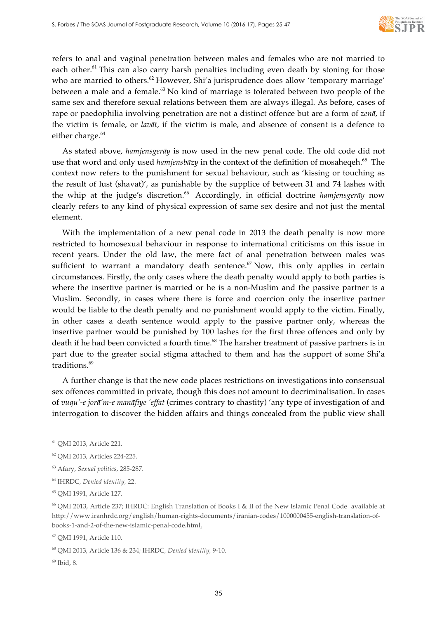

refers to anal and vaginal penetration between males and females who are not married to each other.<sup>61</sup> This can also carry harsh penalties including even death by stoning for those who are married to others.<sup>62</sup> However, Shi'a jurisprudence does allow 'temporary marriage' between a male and a female.<sup>63</sup> No kind of marriage is tolerated between two people of the same sex and therefore sexual relations between them are always illegal. As before, cases of rape or paedophilia involving penetration are not a distinct offence but are a form of *zenā,* if the victim is female, or *lavāt,* if the victim is male, and absence of consent is a defence to either charge.<sup>64</sup>

As stated above, *hamjensgerāy* is now used in the new penal code. The old code did not use that word and only used *hamjensbāzy* in the context of the definition of mosaheqeh.65 The context now refers to the punishment for sexual behaviour, such as 'kissing or touching as the result of lust (shavat)', as punishable by the supplice of between 31 and 74 lashes with the whip at the judge's discretion.<sup>66</sup> Accordingly, in official doctrine *hamjensgeray* now clearly refers to any kind of physical expression of same sex desire and not just the mental element.

With the implementation of a new penal code in 2013 the death penalty is now more restricted to homosexual behaviour in response to international criticisms on this issue in recent years. Under the old law, the mere fact of anal penetration between males was sufficient to warrant a mandatory death sentence.<sup> $67$ </sup> Now, this only applies in certain circumstances. Firstly, the only cases where the death penalty would apply to both parties is where the insertive partner is married or he is a non-Muslim and the passive partner is a Muslim. Secondly, in cases where there is force and coercion only the insertive partner would be liable to the death penalty and no punishment would apply to the victim. Finally, in other cases a death sentence would apply to the passive partner only, whereas the insertive partner would be punished by 100 lashes for the first three offences and only by death if he had been convicted a fourth time.<sup>68</sup> The harsher treatment of passive partners is in part due to the greater social stigma attached to them and has the support of some Shi'a traditions.<sup>69</sup>

A further change is that the new code places restrictions on investigations into consensual sex offences committed in private, though this does not amount to decriminalisation. In cases of *vuqu'-e jorā'm-e manāfiye 'effat* (crimes contrary to chastity) 'any type of investigation of and interrogation to discover the hidden affairs and things concealed from the public view shall

<sup>61</sup> QMI 2013, Article 221.

<sup>62</sup> QMI 2013, Articles 224-225.

<sup>63</sup> Afary, *Sexual politics*, 285-287.

<sup>64</sup> IHRDC, *Denied identity,* 22.

<sup>65</sup> QMI 1991, Article 127.

<sup>66</sup> QMI 2013, Article 237; IHRDC: English Translation of Books I & II of the New Islamic Penal Code available at http://www.iranhrdc.org/english/human-rights-documents/iranian-codes/1000000455-english-translation-ofbooks-1-and-2-of-the-new-islamic-penal-code.html.

<sup>67</sup> QMI 1991, Article 110.

<sup>68</sup> QMI 2013, Article 136 & 234; IHRDC, *Denied identity*, 9-10.

<sup>69</sup> Ibid*,* 8.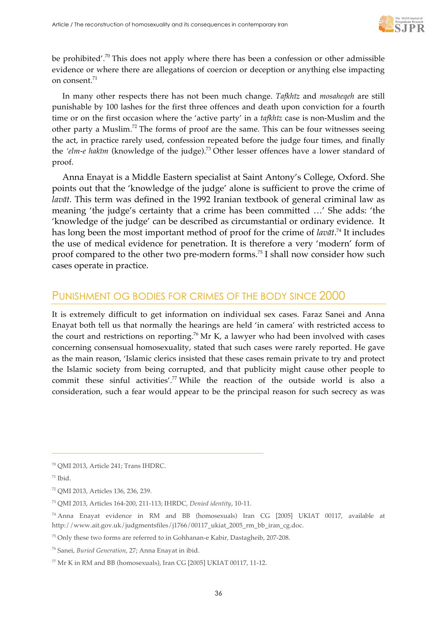

be prohibited'.<sup>70</sup> This does not apply where there has been a confession or other admissible evidence or where there are allegations of coercion or deception or anything else impacting on consent.<sup>71</sup>

In many other respects there has not been much change. *Tafkhīz* and *mosaheqeh* are still punishable by 100 lashes for the first three offences and death upon conviction for a fourth time or on the first occasion where the 'active party' in a *tafkhīz* case is non-Muslim and the other party a Muslim.<sup>72</sup> The forms of proof are the same. This can be four witnesses seeing the act, in practice rarely used, confession repeated before the judge four times, and finally the *'elm-e hakīm* (knowledge of the judge).73 Other lesser offences have a lower standard of proof.

Anna Enayat is a Middle Eastern specialist at Saint Antony's College, Oxford. She points out that the 'knowledge of the judge' alone is sufficient to prove the crime of *lavāt.* This term was defined in the 1992 Iranian textbook of general criminal law as meaning 'the judge's certainty that a crime has been committed …' She adds: 'the 'knowledge of the judge' can be described as circumstantial or ordinary evidence. It has long been the most important method of proof for the crime of *lavāt*. <sup>74</sup> It includes the use of medical evidence for penetration. It is therefore a very 'modern' form of proof compared to the other two pre-modern forms.75 I shall now consider how such cases operate in practice.

## PUNISHMENT OG BODIES FOR CRIMES OF THE BODY SINCE 2000

It is extremely difficult to get information on individual sex cases. Faraz Sanei and Anna Enayat both tell us that normally the hearings are held 'in camera' with restricted access to the court and restrictions on reporting.<sup>76</sup> Mr K, a lawyer who had been involved with cases concerning consensual homosexuality, stated that such cases were rarely reported. He gave as the main reason, 'Islamic clerics insisted that these cases remain private to try and protect the Islamic society from being corrupted, and that publicity might cause other people to commit these sinful activities'.<sup>77</sup> While the reaction of the outside world is also a consideration, such a fear would appear to be the principal reason for such secrecy as was

<sup>70</sup> QMI 2013, Article 241; Trans IHDRC.

 $71$  Ibid.

<sup>72</sup> QMI 2013, Articles 136, 236, 239.

<sup>73</sup> QMI 2013, Articles 164-200, 211-113; IHRDC, *Denied identity*, 10-11.

<sup>74</sup> Anna Enayat evidence in RM and BB (homosexuals) Iran CG [2005] UKIAT 00117, available at http://www.ait.gov.uk/judgmentsfiles/j1766/00117\_ukiat\_2005\_rm\_bb\_iran\_cg.doc.

<sup>75</sup> Only these two forms are referred to in Gohhanan-e Kabir, Dastagheib, 207-208.

<sup>76</sup> Sanei, *Buried Generation*, 27; Anna Enayat in ibid.

 $77$  Mr K in RM and BB (homosexuals), Iran CG [2005] UKIAT 00117, 11-12.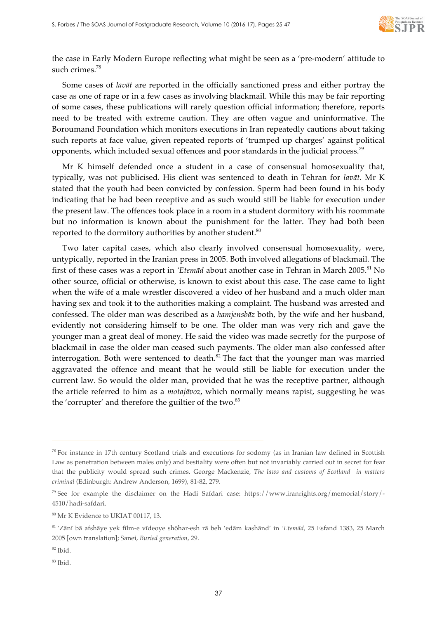

the case in Early Modern Europe reflecting what might be seen as a 'pre-modern' attitude to such crimes.<sup>78</sup>

Some cases of *lavāt* are reported in the officially sanctioned press and either portray the case as one of rape or in a few cases as involving blackmail. While this may be fair reporting of some cases, these publications will rarely question official information; therefore, reports need to be treated with extreme caution. They are often vague and uninformative. The Boroumand Foundation which monitors executions in Iran repeatedly cautions about taking such reports at face value, given repeated reports of 'trumped up charges' against political opponents, which included sexual offences and poor standards in the judicial process.<sup>79</sup>

Mr K himself defended once a student in a case of consensual homosexuality that, typically, was not publicised. His client was sentenced to death in Tehran for *lavāt*. Mr K stated that the youth had been convicted by confession. Sperm had been found in his body indicating that he had been receptive and as such would still be liable for execution under the present law. The offences took place in a room in a student dormitory with his roommate but no information is known about the punishment for the latter. They had both been reported to the dormitory authorities by another student.<sup>80</sup>

Two later capital cases, which also clearly involved consensual homosexuality, were, untypically, reported in the Iranian press in 2005. Both involved allegations of blackmail. The first of these cases was a report in *'Etemād* about another case in Tehran in March 2005.<sup>81</sup> No other source, official or otherwise, is known to exist about this case. The case came to light when the wife of a male wrestler discovered a video of her husband and a much older man having sex and took it to the authorities making a complaint. The husband was arrested and confessed. The older man was described as a *hamjensbāz* both, by the wife and her husband, evidently not considering himself to be one. The older man was very rich and gave the younger man a great deal of money. He said the video was made secretly for the purpose of blackmail in case the older man ceased such payments. The older man also confessed after interrogation. Both were sentenced to death. $82$  The fact that the younger man was married aggravated the offence and meant that he would still be liable for execution under the current law. So would the older man, provided that he was the receptive partner, although the article referred to him as a *motajāvoz*, which normally means rapist, suggesting he was the 'corrupter' and therefore the guiltier of the two.<sup>83</sup>

<sup>82</sup> Ibid.

<sup>&</sup>lt;sup>78</sup> For instance in 17th century Scotland trials and executions for sodomy (as in Iranian law defined in Scottish Law as penetration between males only) and bestiality were often but not invariably carried out in secret for fear that the publicity would spread such crimes. George Mackenzie, *The laws and customs of Scotland in matters criminal* (Edinburgh: Andrew Anderson, 1699), 81-82, 279.

<sup>79</sup> See for example the disclaimer on the Hadi Safdari case: https://www.iranrights.org/memorial/story/- 4510/hadi-safdari.

<sup>80</sup> Mr K Evidence to UKIAT 00117, 13.

<sup>81</sup> 'Zānī bā afshāye yek fīlm-e vīdeoye shōhar-esh rā beh 'edām kashānd' in *'Etemād,* 25 Esfand 1383, 25 March 2005 [own translation]; Sanei, *Buried generation,* 29.

<sup>83</sup> Ibid.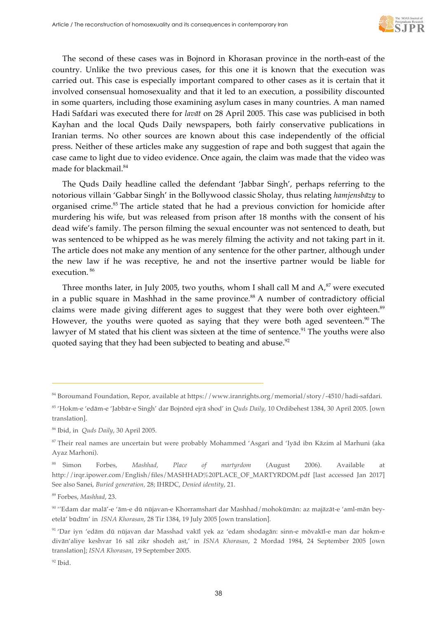

The second of these cases was in Bojnord in Khorasan province in the north-east of the country. Unlike the two previous cases, for this one it is known that the execution was carried out. This case is especially important compared to other cases as it is certain that it involved consensual homosexuality and that it led to an execution, a possibility discounted in some quarters, including those examining asylum cases in many countries. A man named Hadi Safdari was executed there for *lavāt* on 28 April 2005. This case was publicised in both Kayhan and the local Quds Daily newspapers, both fairly conservative publications in Iranian terms. No other sources are known about this case independently of the official press. Neither of these articles make any suggestion of rape and both suggest that again the case came to light due to video evidence. Once again, the claim was made that the video was made for blackmail.<sup>84</sup>

The Quds Daily headline called the defendant 'Jabbar Singh', perhaps referring to the notorious villain 'Gabbar Singh' in the Bollywood classic Sholay, thus relating *hamjensbāzy* to organised crime.<sup>85</sup> The article stated that he had a previous conviction for homicide after murdering his wife, but was released from prison after 18 months with the consent of his dead wife's family. The person filming the sexual encounter was not sentenced to death, but was sentenced to be whipped as he was merely filming the activity and not taking part in it. The article does not make any mention of any sentence for the other partner, although under the new law if he was receptive, he and not the insertive partner would be liable for execution. <sup>86</sup>

Three months later, in July 2005, two youths, whom I shall call M and  $A$ , $87$  were executed in a public square in Mashhad in the same province.<sup>88</sup> A number of contradictory official claims were made giving different ages to suggest that they were both over eighteen.<sup>89</sup> However, the youths were quoted as saying that they were both aged seventeen.<sup>90</sup> The lawyer of M stated that his client was sixteen at the time of sentence.<sup>91</sup> The youths were also quoted saying that they had been subjected to beating and abuse.<sup>92</sup>

 $\overline{a}$ 

<sup>84</sup> Boroumand Foundation, Repor, available at https://www.iranrights.org/memorial/story/-4510/hadi-safdari.

<sup>85</sup> 'Hokm-e 'edām-e 'Jabbār-e Singh' dar Bojnōrd ejrā shod' in *Quds Daily*, 10 Ordibehest 1384, 30 April 2005. [own translation].

<sup>86</sup> Ibid, in *Quds Daily*, 30 April 2005.

<sup>87</sup> Their real names are uncertain but were probably Mohammed 'Asgari and 'Iyād ibn Kāzim al Marhuni (aka Ayaz Marhoni).

<sup>88</sup> Simon Forbes, *Mashhad, Place of martyrdom* (August 2006). Available at http://irqr.ipower.com/English/files/MASHHAD%20PLACE\_OF\_MARTYRDOM.pdf [last accessed Jan 2017] See also Sanei, *Buried generation,* 28; IHRDC, *Denied identity*, 21.

<sup>89</sup> Forbes, *Mashhad*, 23.

<sup>90</sup> ''Edam dar malā'-e 'ām-e dū nūjavan-e Khorramsharī dar Mashhad/mohokūmān: az majāzāt-e 'aml-mān beyetelā' būdīm' in *ISNA Khorasan*, 28 Tir 1384, 19 July 2005 [own translation].

<sup>91</sup> 'Dar iyn 'edām dū nūjavan dar Masshad vakīl yek az 'edam shodagān: sinn-e mōvakīl-e man dar hokm-e divān'aliye keshvar 16 sāl zikr shodeh ast,' in *ISNA Khorasan*, 2 Mordad 1984, 24 September 2005 [own translation]; *ISNA Khorasan*, 19 September 2005.

 $92$  Ibid.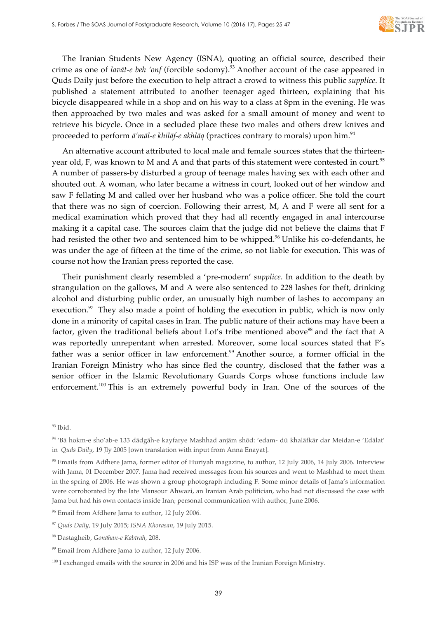

The Iranian Students New Agency (ISNA), quoting an official source, described their crime as one of *lavāt-e beh 'onf* (forcible sodomy).93 Another account of the case appeared in Quds Daily just before the execution to help attract a crowd to witness this public *supplice*. It published a statement attributed to another teenager aged thirteen, explaining that his bicycle disappeared while in a shop and on his way to a class at 8pm in the evening. He was then approached by two males and was asked for a small amount of money and went to retrieve his bicycle. Once in a secluded place these two males and others drew knives and proceeded to perform *ā'māl-e khilāf-e akhlāq* (practices contrary to morals) upon him.<sup>94</sup>

An alternative account attributed to local male and female sources states that the thirteenyear old, F, was known to M and A and that parts of this statement were contested in court.<sup>95</sup> A number of passers-by disturbed a group of teenage males having sex with each other and shouted out. A woman, who later became a witness in court, looked out of her window and saw F fellating M and called over her husband who was a police officer. She told the court that there was no sign of coercion. Following their arrest, M, A and F were all sent for a medical examination which proved that they had all recently engaged in anal intercourse making it a capital case. The sources claim that the judge did not believe the claims that F had resisted the other two and sentenced him to be whipped.<sup>96</sup> Unlike his co-defendants, he was under the age of fifteen at the time of the crime, so not liable for execution. This was of course not how the Iranian press reported the case.

Their punishment clearly resembled a 'pre-modern' *supplice*. In addition to the death by strangulation on the gallows, M and A were also sentenced to 228 lashes for theft, drinking alcohol and disturbing public order, an unusually high number of lashes to accompany an execution. $97$  They also made a point of holding the execution in public, which is now only done in a minority of capital cases in Iran. The public nature of their actions may have been a factor, given the traditional beliefs about Lot's tribe mentioned above<sup>98</sup> and the fact that A was reportedly unrepentant when arrested. Moreover, some local sources stated that F's father was a senior officer in law enforcement.<sup>99</sup> Another source, a former official in the Iranian Foreign Ministry who has since fled the country, disclosed that the father was a senior officer in the Islamic Revolutionary Guards Corps whose functions include law enforcement.<sup>100</sup> This is an extremely powerful body in Iran. One of the sources of the

 $93$  Ibid.

<sup>94</sup> 'Bā hokm-e sho'ab-e 133 dādgāh-e kayfarye Mashhad anjām shōd: 'edam- dū khalāfkār dar Meidan-e 'Edālat' in *Quds Daily*, 19 Jly 2005 [own translation with input from Anna Enayat].

<sup>&</sup>lt;sup>95</sup> Emails from Adfhere Jama, former editor of Huriyah magazine, to author, 12 July 2006, 14 July 2006. Interview with Jama, 01 December 2007. Jama had received messages from his sources and went to Mashhad to meet them in the spring of 2006. He was shown a group photograph including F. Some minor details of Jama's information were corroborated by the late Mansour Ahwazi, an Iranian Arab politician, who had not discussed the case with Jama but had his own contacts inside Iran; personal communication with author, June 2006.

<sup>&</sup>lt;sup>96</sup> Email from Afdhere Jama to author, 12 July 2006.

<sup>97</sup> *Quds Daily,* 19 July 2015; *ISNA Khorasan*, 19 July 2015.

<sup>98</sup> Dastagheib, *Gonāhan-e Kabīrah*, 208.

<sup>&</sup>lt;sup>99</sup> Email from Afdhere Jama to author, 12 July 2006.

<sup>&</sup>lt;sup>100</sup> I exchanged emails with the source in 2006 and his ISP was of the Iranian Foreign Ministry.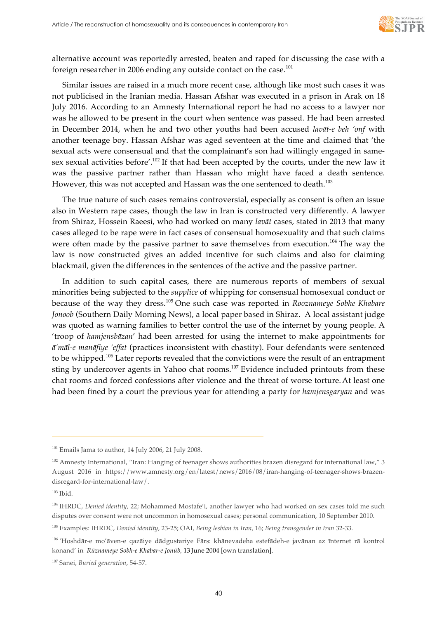

alternative account was reportedly arrested, beaten and raped for discussing the case with a foreign researcher in 2006 ending any outside contact on the case.<sup>101</sup>

Similar issues are raised in a much more recent case, although like most such cases it was not publicised in the Iranian media. Hassan Afshar was executed in a prison in Arak on 18 July 2016. According to an Amnesty International report he had no access to a lawyer nor was he allowed to be present in the court when sentence was passed. He had been arrested in December 2014, when he and two other youths had been accused *lavāt-e beh 'onf* with another teenage boy. Hassan Afshar was aged seventeen at the time and claimed that 'the sexual acts were consensual and that the complainant's son had willingly engaged in samesex sexual activities before'.<sup>102</sup> If that had been accepted by the courts, under the new law it was the passive partner rather than Hassan who might have faced a death sentence. However, this was not accepted and Hassan was the one sentenced to death.<sup>103</sup>

The true nature of such cases remains controversial, especially as consent is often an issue also in Western rape cases, though the law in Iran is constructed very differently. A lawyer from Shiraz, Hossein Raeesi, who had worked on many *lavāt* cases, stated in 2013 that many cases alleged to be rape were in fact cases of consensual homosexuality and that such claims were often made by the passive partner to save themselves from execution.<sup>104</sup> The way the law is now constructed gives an added incentive for such claims and also for claiming blackmail, given the differences in the sentences of the active and the passive partner.

In addition to such capital cases, there are numerous reports of members of sexual minorities being subjected to the *supplice* of whipping for consensual homosexual conduct or because of the way they dress.<sup>105</sup> One such case was reported in *Rooznameye Sobhe Khabare Jonoob* (Southern Daily Morning News), a local paper based in Shiraz. A local assistant judge was quoted as warning families to better control the use of the internet by young people. A 'troop of *hamjensbāzan*' had been arrested for using the internet to make appointments for *ā'māl-e manāfiye 'effat* (practices inconsistent with chastity). Four defendants were sentenced to be whipped.<sup>106</sup> Later reports revealed that the convictions were the result of an entrapment sting by undercover agents in Yahoo chat rooms.<sup>107</sup> Evidence included printouts from these chat rooms and forced confessions after violence and the threat of worse torture.At least one had been fined by a court the previous year for attending a party for *hamjensgaryan* and was

j

<sup>107</sup> Sanei, *Buried generation*, 54-57.

 $101$  Emails Jama to author, 14 July 2006, 21 July 2008.

<sup>&</sup>lt;sup>102</sup> Amnesty International, "Iran: Hanging of teenager shows authorities brazen disregard for international law," 3 August 2016 in https://www.amnesty.org/en/latest/news/2016/08/iran-hanging-of-teenager-shows-brazendisregard-for-international-law/.

 $103$  Ibid.

<sup>104</sup> IHRDC, *Denied identity,* 22; Mohammed Mostafe'i, another lawyer who had worked on sex cases told me such disputes over consent were not uncommon in homosexual cases; personal communication, 10 September 2010.

<sup>105</sup> Examples: IHRDC, *Denied identity,* 23-25; OAI, *Being lesbian in Iran,* 16; *Being transgender in Iran* 32-33.

<sup>106</sup> 'Hoshdār-e mo'āven-e qazāiye dādgustariye Fārs: khānevadeha estefādeh-e javānan az īnternet rā kontrol konand' in *Rūznameye Sobh-e Khabar-e Jonūb,* 13 June 2004 [own translation].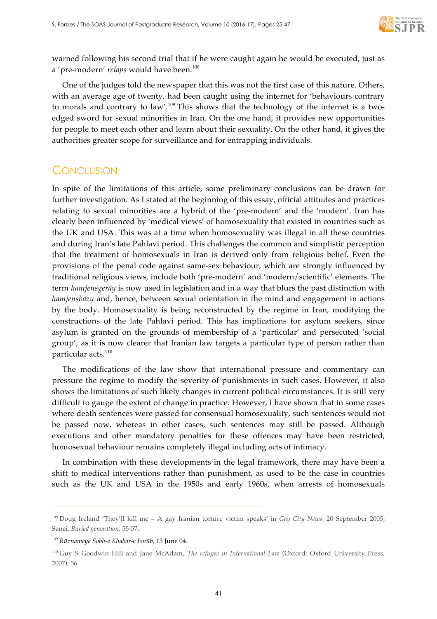

warned following his second trial that if he were caught again he would be executed, just as a 'pre-modern' *relaps* would have been.<sup>108</sup>

One of the judges told the newspaper that this was not the first case of this nature. Others, with an average age of twenty, had been caught using the internet for 'behaviours contrary to morals and contrary to law'.<sup>109</sup> This shows that the technology of the internet is a twoedged sword for sexual minorities in Iran. On the one hand, it provides new opportunities for people to meet each other and learn about their sexuality. On the other hand, it gives the authorities greater scope for surveillance and for entrapping individuals.

## **CONCLUSION**

In spite of the limitations of this article, some preliminary conclusions can be drawn for further investigation. As I stated at the beginning of this essay, official attitudes and practices relating to sexual minorities are a hybrid of the 'pre-modern' and the 'modern'. Iran has clearly been influenced by 'medical views' of homosexuality that existed in countries such as the UK and USA. This was at a time when homosexuality was illegal in all these countries and during Iran's late Pahlavi period. This challenges the common and simplistic perception that the treatment of homosexuals in Iran is derived only from religious belief. Even the provisions of the penal code against same-sex behaviour, which are strongly influenced by traditional religious views, include both 'pre-modern' and 'modern/scientific' elements. The term *hamjensgerāy* is now used in legislation and in a way that blurs the past distinction with *hamjensbāzy* and, hence, between sexual orientation in the mind and engagement in actions by the body. Homosexuality is being reconstructed by the regime in Iran, modifying the constructions of the late Pahlavi period. This has implications for asylum seekers, since asylum is granted on the grounds of membership of a 'particular' and persecuted 'social group', as it is now clearer that Iranian law targets a particular type of person rather than particular acts.<sup>110</sup>

The modifications of the law show that international pressure and commentary can pressure the regime to modify the severity of punishments in such cases. However, it also shows the limitations of such likely changes in current political circumstances. It is still very difficult to gauge the extent of change in practice. However, I have shown that in some cases where death sentences were passed for consensual homosexuality, such sentences would not be passed now, whereas in other cases, such sentences may still be passed. Although executions and other mandatory penalties for these offences may have been restricted, homosexual behaviour remains completely illegal including acts of intimacy.

In combination with these developments in the legal framework, there may have been a shift to medical interventions rather than punishment, as used to be the case in countries such as the UK and USA in the 1950s and early 1960s, when arrests of homosexuals

<sup>108</sup> Doug Ireland 'They'll kill me – A gay Iranian torture victim speaks' in *Gay City News,* 20 September 2005; Sanei, *Buried generation*, 55-57.

<sup>109</sup> *Rūznameye Sobh-e Khabar-e Jonūb,* 13 June 04.

<sup>110</sup> Guy S Goodwin Hill and Jane McAdam, *The refugee in International Law* (Oxford: Oxford University Press, 2007), 36.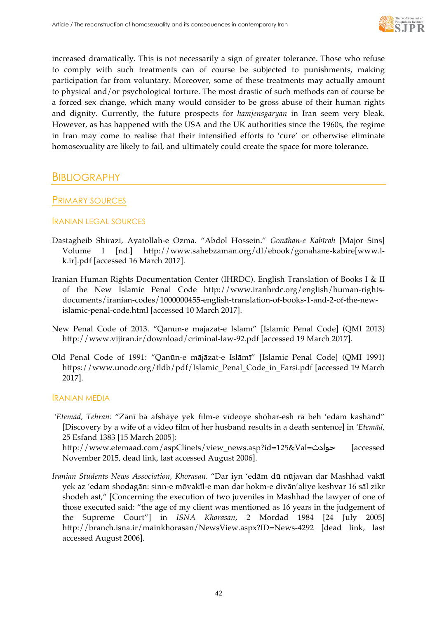

increased dramatically. This is not necessarily a sign of greater tolerance. Those who refuse to comply with such treatments can of course be subjected to punishments, making participation far from voluntary. Moreover, some of these treatments may actually amount to physical and/or psychological torture. The most drastic of such methods can of course be a forced sex change, which many would consider to be gross abuse of their human rights and dignity. Currently, the future prospects for *hamjensgaryan* in Iran seem very bleak. However, as has happened with the USA and the UK authorities since the 1960s, the regime in Iran may come to realise that their intensified efforts to 'cure' or otherwise eliminate homosexuality are likely to fail, and ultimately could create the space for more tolerance.

## BIBLIOGRAPHY

## PRIMARY SOURCES

#### IRANIAN LEGAL SOURCES

- Dastagheib Shirazi, Ayatollah-e Ozma. "Abdol Hossein." *Gonāhan-e Kabīrah* [Major Sins] Volume I [nd.] http://www.sahebzaman.org/dl/ebook/gonahane-kabire[www.lk.ir].pdf [accessed 16 March 2017].
- Iranian Human Rights Documentation Center (IHRDC). English Translation of Books I & II of the New Islamic Penal Code http://www.iranhrdc.org/english/human-rightsdocuments/iranian-codes/1000000455-english-translation-of-books-1-and-2-of-the-newislamic-penal-code.html [accessed 10 March 2017].
- New Penal Code of 2013. "Qanūn-e mājāzat-e Islāmī" [Islamic Penal Code] (QMI 2013) http://www.vijiran.ir/download/criminal-law-92.pdf [accessed 19 March 2017].
- Old Penal Code of 1991: "Qanūn-e mājāzat-e Islāmī" [Islamic Penal Code] (QMI 1991) https://www.unodc.org/tldb/pdf/Islamic\_Penal\_Code\_in\_Farsi.pdf [accessed 19 March 2017].

#### IRANIAN MEDIA

*'Etemād, Tehran:* "Zānī bā afshāye yek fīlm-e vīdeoye shōhar-esh rā beh 'edām kashānd" [Discovery by a wife of a video film of her husband results in a death sentence] in *'Etemād,*  25 Esfand 1383 [15 March 2005]:

http://www.etemaad.com/aspClinets/view\_news.asp?id=125&Val=حوادث] accessed November 2015, dead link, last accessed August 2006].

*Iranian Students News Association, Khorasan.* "Dar iyn 'edām dū nūjavan dar Mashhad vakīl yek az 'edam shodagān: sinn-e mōvakīl-e man dar hokm-e divān'aliye keshvar 16 sāl zikr shodeh ast," [Concerning the execution of two juveniles in Mashhad the lawyer of one of those executed said: "the age of my client was mentioned as 16 years in the judgement of the Supreme Court"] in *ISNA Khorasan*, 2 Mordad 1984 [24 July 2005] http://branch.isna.ir/mainkhorasan/NewsView.aspx?ID=News-4292 [dead link, last accessed August 2006].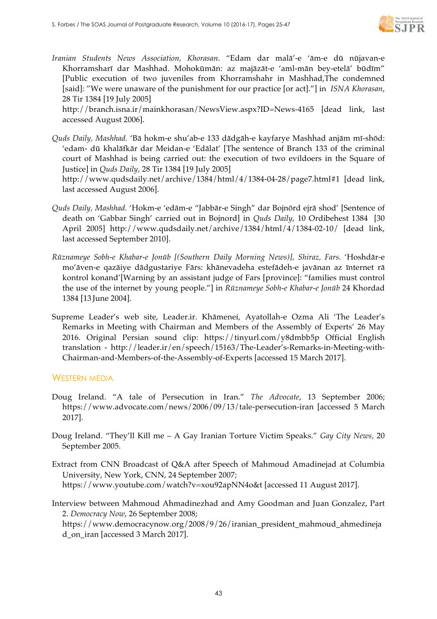

*Iranian Students News Association, Khorasan*. "Edam dar malā'-e 'ām-e dū nūjavan-e Khorramsharī dar Mashhad. Mohokūmān: az majāzāt-e 'aml-mān bey-etelā' būdīm" [Public execution of two juveniles from Khorramshahr in Mashhad,The condemned [said]: "We were unaware of the punishment for our practice [or act]."] in *ISNA Khorasan*, 28 Tir 1384 [19 July 2005]

http://branch.isna.ir/mainkhorasan/NewsView.aspx?ID=News-4165 [dead link, last accessed August 2006].

*Quds Daily, Mashhad.* 'Bā hokm-e shu'ab-e 133 dādgāh-e kayfarye Mashhad anjām mī-shōd: 'edam- dū khalāfkār dar Meidan-e 'Edālat' [The sentence of Branch 133 of the criminal court of Mashhad is being carried out: the execution of two evildoers in the Square of Justice] in *Quds Daily*, 28 Tir 1384 [19 July 2005]

http://www.qudsdaily.net/archive/1384/html/4/1384-04-28/page7.html#1 [dead link, last accessed August 2006].

- *Quds Daily, Mashhad.* 'Hokm-e 'edām-e "Jabbār-e Singh" dar Bojnōrd ejrā shod' [Sentence of death on 'Gabbar Singh' carried out in Bojnord] in *Quds Daily*, 10 Ordibehest 1384 [30 April 2005] http://www.qudsdaily.net/archive/1384/html/4/1384-02-10/ [dead link, last accessed September 2010].
- *Rūznameye Sobh-e Khabar-e Jonūb [(Southern Daily Morning News)], Shiraz, Fars.* 'Hoshdār-e mo'āven-e qazāiye dādgustariye Fārs: khānevadeha estefādeh-e javānan az īnternet rā kontrol konand'[Warning by an assistant judge of Fars [province]: "families must control the use of the internet by young people."] in *Rūznameye Sobh-e Khabar-e Jonūb* 24 Khordad 1384 [13 June 2004].
- Supreme Leader's web site, Leader.ir. Khāmenei, Ayatollah-e Ozma Ali 'The Leader's Remarks in Meeting with Chairman and Members of the Assembly of Experts' 26 May 2016. Original Persian sound clip: https://tinyurl.com/y8dmbb5p Official English translation - http://leader.ir/en/speech/15163/The-Leader's-Remarks-in-Meeting-with-Chairman-and-Members-of-the-Assembly-of-Experts [accessed 15 March 2017].

#### WESTERN MEDIA

- Doug Ireland. "A tale of Persecution in Iran." *The Advocate*, 13 September 2006; https://www.advocate.com/news/2006/09/13/tale-persecution-iran [accessed 5 March 2017].
- Doug Ireland. "They'll Kill me A Gay Iranian Torture Victim Speaks." *Gay City News,* 20 September 2005.
- Extract from CNN Broadcast of Q&A after Speech of Mahmoud Amadinejad at Columbia University, New York, CNN, 24 September 2007; https://www.youtube.com/watch?v=xou92apNN4o&t [accessed 11 August 2017].

Interview between Mahmoud Ahmadinezhad and Amy Goodman and Juan Gonzalez, Part 2. *Democracy Now*, 26 September 2008;

https://www.democracynow.org/2008/9/26/iranian\_president\_mahmoud\_ahmedineja d\_on\_iran [accessed 3 March 2017].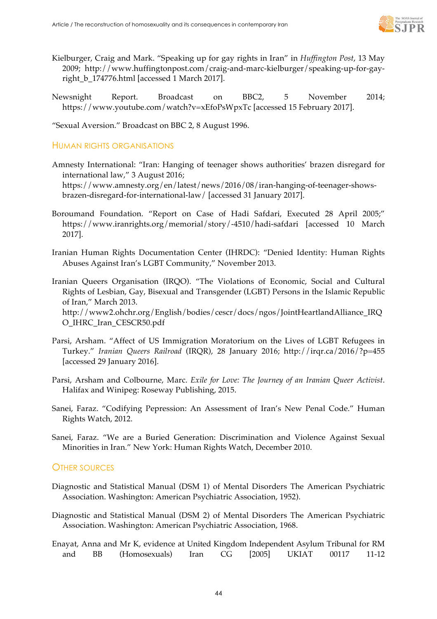

- Kielburger, Craig and Mark. "Speaking up for gay rights in Iran" in *Huffington Post*, 13 May 2009; http://www.huffingtonpost.com/craig-and-marc-kielburger/speaking-up-for-gayright b 174776.html [accessed 1 March 2017].
- Newsnight Report. Broadcast on BBC2, 5 November 2014; https://www.youtube.com/watch?v=xEfoPsWpxTc [accessed 15 February 2017].

"Sexual Aversion." Broadcast on BBC 2, 8 August 1996.

#### HUMAN RIGHTS ORGANISATIONS

- Amnesty International: "Iran: Hanging of teenager shows authorities' brazen disregard for international law," 3 August 2016; https://www.amnesty.org/en/latest/news/2016/08/iran-hanging-of-teenager-showsbrazen-disregard-for-international-law/ [accessed 31 January 2017].
- Boroumand Foundation. "Report on Case of Hadi Safdari, Executed 28 April 2005;" https://www.iranrights.org/memorial/story/-4510/hadi-safdari [accessed 10 March 2017].
- Iranian Human Rights Documentation Center (IHRDC): "Denied Identity: Human Rights Abuses Against Iran's LGBT Community," November 2013.
- Iranian Queers Organisation (IRQO). "The Violations of Economic, Social and Cultural Rights of Lesbian, Gay, Bisexual and Transgender (LGBT) Persons in the Islamic Republic of Iran," March 2013. http://www2.ohchr.org/English/bodies/cescr/docs/ngos/JointHeartlandAlliance\_IRQ O\_IHRC\_Iran\_CESCR50.pdf
- Parsi, Arsham. "Affect of US Immigration Moratorium on the Lives of LGBT Refugees in Turkey." *Iranian Queers Railroad* (IRQR), 28 January 2016; http://irqr.ca/2016/?p=455 [accessed 29 January 2016].
- Parsi, Arsham and Colbourne, Marc. *Exile for Love: The Journey of an Iranian Queer Activist*. Halifax and Winipeg: Roseway Publishing, 2015.
- Sanei, Faraz. "Codifying Pepression: An Assessment of Iran's New Penal Code." Human Rights Watch, 2012.
- Sanei, Faraz. "We are a Buried Generation: Discrimination and Violence Against Sexual Minorities in Iran." New York: Human Rights Watch, December 2010.

#### OTHER SOURCES

- Diagnostic and Statistical Manual (DSM 1) of Mental Disorders The American Psychiatric Association. Washington: American Psychiatric Association, 1952).
- Diagnostic and Statistical Manual (DSM 2) of Mental Disorders The American Psychiatric Association. Washington: American Psychiatric Association, 1968.
- Enayat, Anna and Mr K, evidence at United Kingdom Independent Asylum Tribunal for RM and BB (Homosexuals) Iran CG [2005] UKIAT 00117 11-12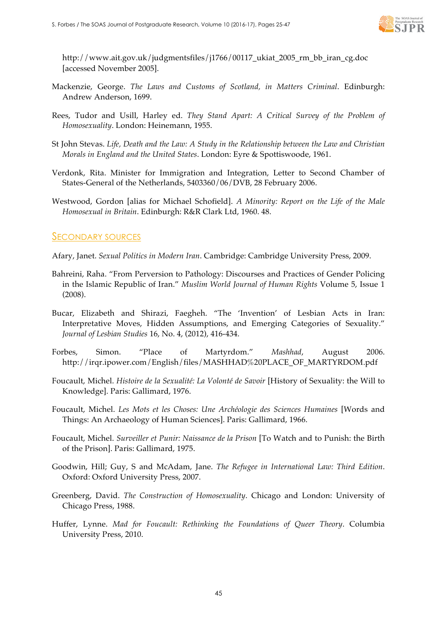

http://www.ait.gov.uk/judgmentsfiles/j1766/00117\_ukiat\_2005\_rm\_bb\_iran\_cg.doc [accessed November 2005].

- Mackenzie, George. *The Laws and Customs of Scotland, in Matters Criminal*. Edinburgh: Andrew Anderson, 1699.
- Rees, Tudor and Usill, Harley ed. *They Stand Apart: A Critical Survey of the Problem of Homosexuality*. London: Heinemann, 1955.
- St John Stevas. *Life, Death and the Law: A Study in the Relationship between the Law and Christian Morals in England and the United States*. London: Eyre & Spottiswoode, 1961.
- Verdonk, Rita. Minister for Immigration and Integration, Letter to Second Chamber of States-General of the Netherlands, 5403360/06/DVB, 28 February 2006.
- Westwood, Gordon [alias for Michael Schofield]. *A Minority: Report on the Life of the Male Homosexual in Britain*. Edinburgh: R&R Clark Ltd, 1960. 48.

### SECONDARY SOURCES

Afary, Janet. *Sexual Politics in Modern Iran*. Cambridge: Cambridge University Press, 2009.

- Bahreini, Raha. "From Perversion to Pathology: Discourses and Practices of Gender Policing in the Islamic Republic of Iran." *Muslim World Journal of Human Rights* Volume 5, Issue 1 (2008).
- Bucar, Elizabeth and Shirazi, Faegheh. "The 'Invention' of Lesbian Acts in Iran: Interpretative Moves, Hidden Assumptions, and Emerging Categories of Sexuality." *Journal of Lesbian Studies* 16, No. 4, (2012), 416-434.
- Forbes, Simon. "Place of Martyrdom." *Mashhad*, August 2006. http://irqr.ipower.com/English/files/MASHHAD%20PLACE\_OF\_MARTYRDOM.pdf
- Foucault, Michel. *Histoire de la Sexualité: La Volonté de Savoir* [History of Sexuality: the Will to Knowledge]. Paris: Gallimard, 1976.
- Foucault, Michel. *Les Mots et les Choses: Une Archéologie des Sciences Humaines* [Words and Things: An Archaeology of Human Sciences]. Paris: Gallimard, 1966.
- Foucault, Michel. *Surveiller et Punir: Naissance de la Prison* [To Watch and to Punish: the Birth of the Prison]. Paris: Gallimard, 1975.
- Goodwin, Hill; Guy, S and McAdam, Jane. *The Refugee in International Law: Third Edition*. Oxford: Oxford University Press, 2007.
- Greenberg, David. *The Construction of Homosexuality*. Chicago and London: University of Chicago Press, 1988.
- Huffer, Lynne. *Mad for Foucault: Rethinking the Foundations of Queer Theory*. Columbia University Press, 2010.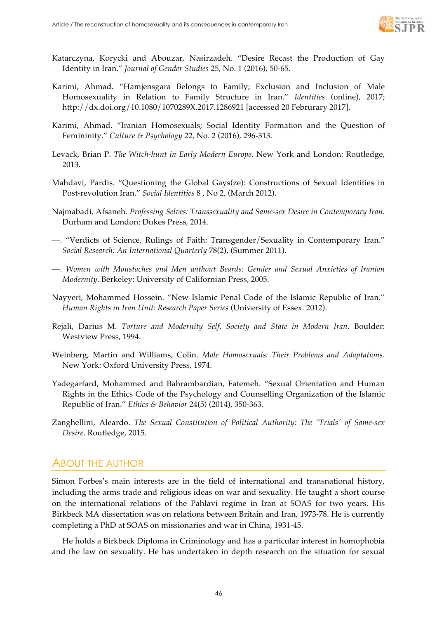

- Katarczyna, Korycki and Abouzar, Nasirzadeh. "Desire Recast the Production of Gay Identity in Iran." *Journal of Gender Studies* 25, No. 1 (2016), 50-65.
- Karimi, Ahmad. "Hamjensgara Belongs to Family; Exclusion and Inclusion of Male Homosexuality in Relation to Family Structure in Iran." *Identities* (online), 2017; http://dx.doi.org/10.1080/1070289X.2017.1286921 [accessed 20 Februrary 2017].
- Karimi, Ahmad. "Iranian Homosexuals; Social Identity Formation and the Question of Femininity." *Culture & Psychology* 22, No. 2 (2016), 296-313.
- Levack, Brian P. *The Witch-hunt in Early Modern Europe*. New York and London: Routledge, 2013.
- Mahdavi, Pardis. "Questioning the Global Gays(ze): Constructions of Sexual Identities in Post-revolution Iran." *Social Identities* 8 , No 2, (March 2012).
- Najmabadi, Afsaneh. *Professing Selves: Transsexuality and Same-sex Desire in Contemporary Iran*. Durham and London: Dukes Press, 2014.
- ¾. "Verdicts of Science, Rulings of Faith: Transgender/Sexuality in Contemporary Iran." *Social Research: An International Quarterly* 78(2), (Summer 2011).
- ¾. *Women with Moustaches and Men without Beards: Gender and Sexual Anxieties of Iranian Modernity*. Berkeley: University of Californian Press, 2005.
- Nayyeri, Mohammed Hossein. "New Islamic Penal Code of the Islamic Republic of Iran." *Human Rights in Iran Unit: Research Paper Series* (University of Essex. 2012).
- Rejali, Darius M. *Torture and Modernity Self, Society and State in Modern Iran*. Boulder: Westview Press, 1994.
- Weinberg, Martin and Williams, Colin. *Male Homosexuals: Their Problems and Adaptations*. New York: Oxford University Press, 1974.
- Yadegarfard, Mohammed and Bahrambardian, Fatemeh. "Sexual Orientation and Human Rights in the Ethics Code of the Psychology and Counselling Organization of the Islamic Republic of Iran." *Ethics & Behavior* 24(5) (2014), 350-363.
- Zanghellini, Aleardo. *The Sexual Constitution of Political Authority: The 'Trials' of Same-sex Desire*. Routledge, 2015.

## ABOUT THE AUTHOR

Simon Forbes's main interests are in the field of international and transnational history, including the arms trade and religious ideas on war and sexuality. He taught a short course on the international relations of the Pahlavi regime in Iran at SOAS for two years. His Birkbeck MA dissertation was on relations between Britain and Iran, 1973-78. He is currently completing a PhD at SOAS on missionaries and war in China, 1931-45.

He holds a Birkbeck Diploma in Criminology and has a particular interest in homophobia and the law on sexuality. He has undertaken in depth research on the situation for sexual